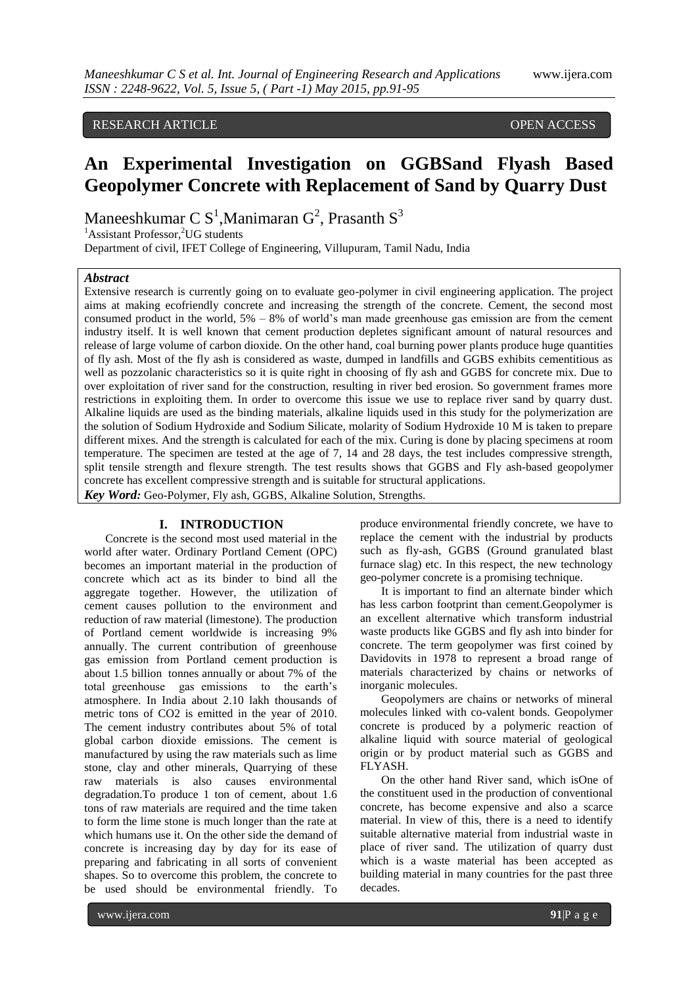# RESEARCH ARTICLE **CONSERVERS** OPEN ACCESS

# **An Experimental Investigation on GGBSand Flyash Based Geopolymer Concrete with Replacement of Sand by Quarry Dust**

Maneeshkumar C $S^1$ , Manimaran  $G^2$ , Prasanth  $S^3$ 

 ${}^{1}$ Assistant Professor,<sup>2</sup>UG students

Department of civil, IFET College of Engineering, Villupuram, Tamil Nadu, India

# *Abstract*

Extensive research is currently going on to evaluate geo-polymer in civil engineering application. The project aims at making ecofriendly concrete and increasing the strength of the concrete. Cement, the second most consumed product in the world, 5% – 8% of world's man made greenhouse gas emission are from the cement industry itself. It is well known that cement production depletes significant amount of natural resources and release of large volume of carbon dioxide. On the other hand, coal burning power plants produce huge quantities of fly ash. Most of the fly ash is considered as waste, dumped in landfills and GGBS exhibits cementitious as well as pozzolanic characteristics so it is quite right in choosing of fly ash and GGBS for concrete mix. Due to over exploitation of river sand for the construction, resulting in river bed erosion. So government frames more restrictions in exploiting them. In order to overcome this issue we use to replace river sand by quarry dust. Alkaline liquids are used as the binding materials, alkaline liquids used in this study for the polymerization are the solution of Sodium Hydroxide and Sodium Silicate, molarity of Sodium Hydroxide 10 M is taken to prepare different mixes. And the strength is calculated for each of the mix. Curing is done by placing specimens at room temperature. The specimen are tested at the age of 7, 14 and 28 days, the test includes compressive strength, split tensile strength and flexure strength. The test results shows that GGBS and Fly ash-based geopolymer concrete has excellent compressive strength and is suitable for structural applications. *Key Word:* Geo-Polymer, Fly ash, GGBS, Alkaline Solution, Strengths.

#### **I. INTRODUCTION**

Concrete is the second most used material in the world after water. Ordinary Portland Cement (OPC) becomes an important material in the production of concrete which act as its binder to bind all the aggregate together. However, the utilization of cement causes pollution to the environment and reduction of raw material (limestone). The production of Portland cement worldwide is increasing 9% annually. The current contribution of greenhouse gas emission from Portland cement production is about 1.5 billion tonnes annually or about 7% of the total greenhouse gas emissions to the earth's atmosphere. In India about 2.10 lakh thousands of metric tons of CO2 is emitted in the year of 2010. The cement industry contributes about 5% of total global carbon dioxide emissions. The cement is manufactured by using the raw materials such as lime stone, clay and other minerals, Quarrying of these raw materials is also causes environmental degradation.To produce 1 ton of cement, about 1.6 tons of raw materials are required and the time taken to form the lime stone is much longer than the rate at which humans use it. On the other side the demand of concrete is increasing day by day for its ease of preparing and fabricating in all sorts of convenient shapes. So to overcome this problem, the concrete to be used should be environmental friendly. To

produce environmental friendly concrete, we have to replace the cement with the industrial by products such as fly-ash, GGBS (Ground granulated blast furnace slag) etc. In this respect, the new technology geo-polymer concrete is a promising technique.

It is important to find an alternate binder which has less carbon footprint than cement.Geopolymer is an excellent alternative which transform industrial waste products like GGBS and fly ash into binder for concrete. The term geopolymer was first coined by Davidovits in 1978 to represent a broad range of materials characterized by chains or networks of inorganic molecules.

Geopolymers are chains or networks of mineral molecules linked with co-valent bonds. Geopolymer concrete is produced by a polymeric reaction of alkaline liquid with source material of geological origin or by product material such as GGBS and FLYASH.

On the other hand River sand, which isOne of the constituent used in the production of conventional concrete, has become expensive and also a scarce material. In view of this, there is a need to identify suitable alternative material from industrial waste in place of river sand. The utilization of quarry dust which is a waste material has been accepted as building material in many countries for the past three decades.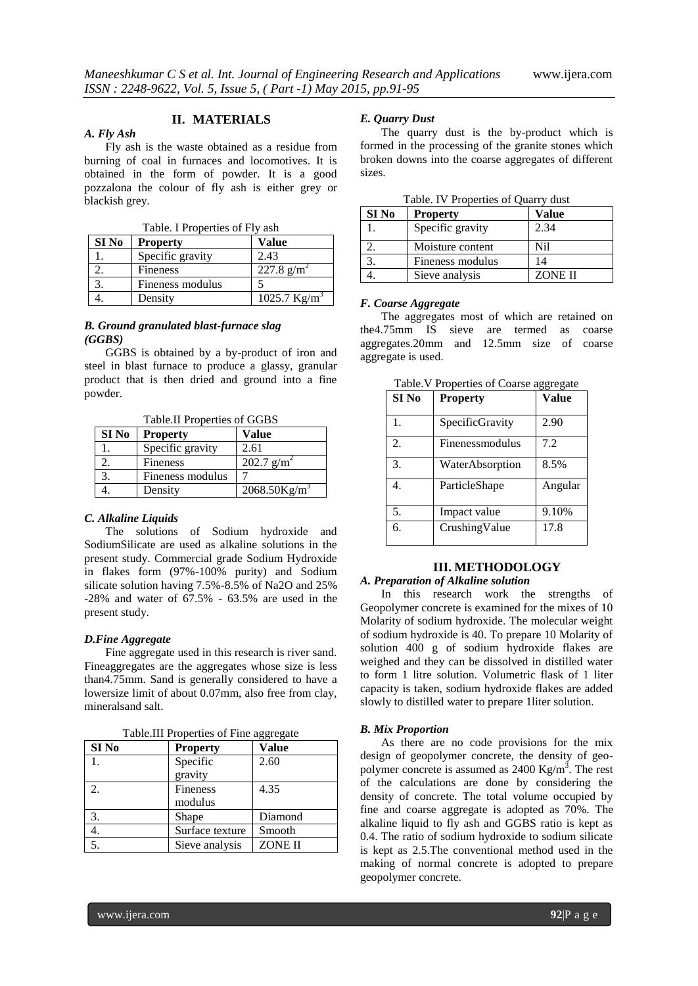### **II. MATERIALS**

#### *A. Fly Ash*

Fly ash is the waste obtained as a residue from burning of coal in furnaces and locomotives. It is obtained in the form of powder. It is a good pozzalona the colour of fly ash is either grey or blackish grey.

Table. I Properties of Fly ash

| SI No | <b>Property</b>  | Value           |
|-------|------------------|-----------------|
|       | Specific gravity | 2.43            |
|       | Fineness         | 227.8 $g/m^2$   |
|       | Fineness modulus |                 |
|       | Density          | 1025.7 $Kg/m^3$ |

#### *B. Ground granulated blast-furnace slag (GGBS)*

GGBS is obtained by a by-product of iron and steel in blast furnace to produce a glassy, granular product that is then dried and ground into a fine powder.

Table.II Properties of GGBS

| SI No | <b>Property</b>  | Value                       |
|-------|------------------|-----------------------------|
|       | Specific gravity | 2.61                        |
|       | Fineness         | $202.7$ g/m <sup>2</sup>    |
|       | Fineness modulus |                             |
|       | Density          | $2068.50$ Kg/m <sup>3</sup> |

#### *C. Alkaline Liquids*

The solutions of Sodium hydroxide and SodiumSilicate are used as alkaline solutions in the present study. Commercial grade Sodium Hydroxide in flakes form (97%-100% purity) and Sodium silicate solution having 7.5%-8.5% of Na2O and 25% -28% and water of 67.5% - 63.5% are used in the present study.

#### *D.Fine Aggregate*

Fine aggregate used in this research is river sand. Fineaggregates are the aggregates whose size is less than4.75mm. Sand is generally considered to have a lowersize limit of about 0.07mm, also free from clay, mineralsand salt.

| SI <sub>No</sub> | Property        | Value          |
|------------------|-----------------|----------------|
|                  | Specific        | 2.60           |
|                  | gravity         |                |
| 2.               | Fineness        | 4.35           |
|                  | modulus         |                |
| 3.               | Shape           | Diamond        |
|                  | Surface texture | Smooth         |
| 5.               | Sieve analysis  | <b>ZONE II</b> |

Table.III Properties of Fine aggregate

#### *E. Quarry Dust*

The quarry dust is the by-product which is formed in the processing of the granite stones which broken downs into the coarse aggregates of different sizes.

|       | radic. I've rided thus or Quality dust |                |  |  |  |
|-------|----------------------------------------|----------------|--|--|--|
| SI No | <b>Property</b>                        | <b>Value</b>   |  |  |  |
|       | Specific gravity                       | 2.34           |  |  |  |
|       | Moisture content                       | Nil            |  |  |  |
|       | Fineness modulus                       | 14             |  |  |  |
|       | Sieve analysis                         | <b>ZONE II</b> |  |  |  |

Table. IV Properties of Quarry dust

#### *F. Coarse Aggregate*

The aggregates most of which are retained on the4.75mm IS sieve are termed as coarse aggregates.20mm and 12.5mm size of coarse aggregate is used.

| SI No | <b>Property</b> | Value   |
|-------|-----------------|---------|
| 1.    | SpecificGravity | 2.90    |
| 2.    | Finenessmodulus | 7.2     |
| 3.    | WaterAbsorption | 8.5%    |
| 4.    | ParticleShape   | Angular |
| 5.    | Impact value    | 9.10%   |
| 6.    | CrushingValue   | 17.8    |

Table.V Properties of Coarse aggregate

#### **III. METHODOLOGY**

#### *A. Preparation of Alkaline solution*

In this research work the strengths of Geopolymer concrete is examined for the mixes of 10 Molarity of sodium hydroxide. The molecular weight of sodium hydroxide is 40. To prepare 10 Molarity of solution 400 g of sodium hydroxide flakes are weighed and they can be dissolved in distilled water to form 1 litre solution. Volumetric flask of 1 liter capacity is taken, sodium hydroxide flakes are added slowly to distilled water to prepare 1liter solution.

#### *B. Mix Proportion*

As there are no code provisions for the mix design of geopolymer concrete, the density of geopolymer concrete is assumed as  $2400 \text{ Kg/m}^3$ . The rest of the calculations are done by considering the density of concrete. The total volume occupied by fine and coarse aggregate is adopted as 70%. The alkaline liquid to fly ash and GGBS ratio is kept as 0.4. The ratio of sodium hydroxide to sodium silicate is kept as 2.5.The conventional method used in the making of normal concrete is adopted to prepare geopolymer concrete.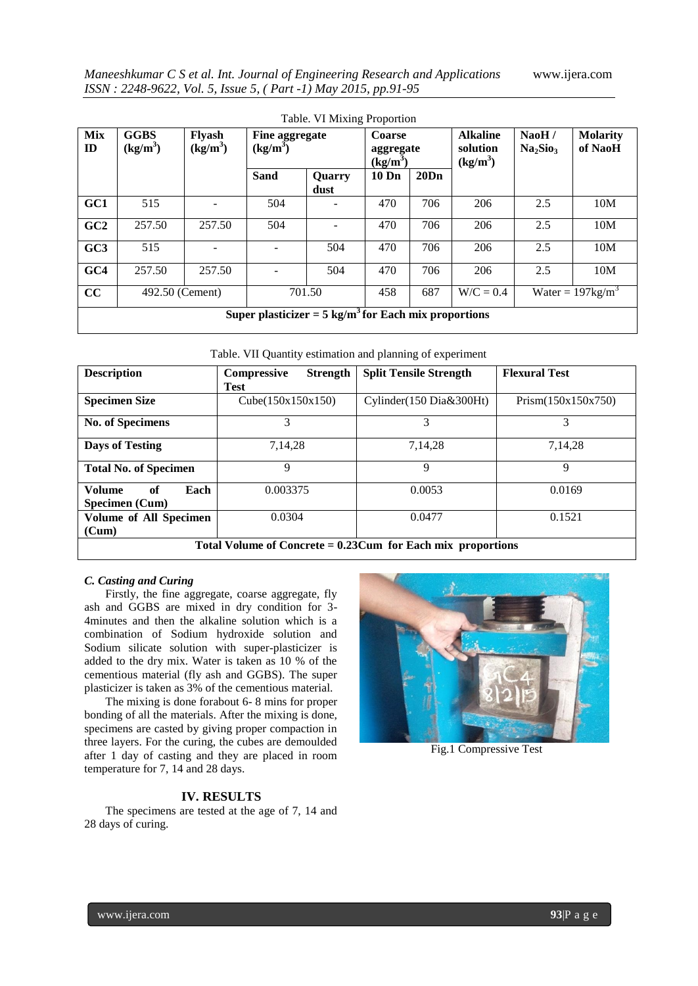| <b>Table.</b> VI MIXING Proportion |                                                                 |                             |                          |                |       |                                   |             |                                           |                            |
|------------------------------------|-----------------------------------------------------------------|-----------------------------|--------------------------|----------------|-------|-----------------------------------|-------------|-------------------------------------------|----------------------------|
| <b>Mix</b><br>ID                   | <b>GGBS</b><br>$(kg/m^3)$                                       | <b>Flyash</b><br>$(kg/m^3)$ | $(kg/m^3)$               | Fine aggregate |       | Coarse<br>aggregate<br>$(kg/m^3)$ |             | NaOH/<br>Na <sub>2</sub> Sio <sub>3</sub> | <b>Molarity</b><br>of NaoH |
|                                    |                                                                 |                             | <b>Sand</b>              | Quarry<br>dust | 10 Dn | 20Dn                              |             |                                           |                            |
| GC1                                | 515                                                             |                             | 504                      |                | 470   | 706                               | 206         | 2.5                                       | 10M                        |
| GC2                                | 257.50                                                          | 257.50                      | 504                      |                | 470   | 706                               | 206         | 2.5                                       | 10M                        |
| GC3                                | 515                                                             |                             |                          | 504            | 470   | 706                               | 206         | 2.5                                       | 10M                        |
| GC4                                | 257.50                                                          | 257.50                      | $\overline{\phantom{a}}$ | 504            | 470   | 706                               | 206         | 2.5                                       | 10M                        |
| cc                                 | 492.50 (Cement)                                                 |                             |                          | 701.50         | 458   | 687                               | $W/C = 0.4$ |                                           | Water = $197\text{kg/m}^3$ |
|                                    | Super plasticizer = $5 \text{ kg/m}^3$ for Each mix proportions |                             |                          |                |       |                                   |             |                                           |                            |

|  |  |  |  |  |  |  | Table. VII Quantity estimation and planning of experiment |
|--|--|--|--|--|--|--|-----------------------------------------------------------|
|--|--|--|--|--|--|--|-----------------------------------------------------------|

| <b>Description</b>                                             | <b>Compressive</b><br><b>Strength</b> | <b>Split Tensile Strength</b> | <b>Flexural Test</b> |  |  |
|----------------------------------------------------------------|---------------------------------------|-------------------------------|----------------------|--|--|
|                                                                | <b>Test</b>                           |                               |                      |  |  |
| <b>Specimen Size</b>                                           | Cube $(150x150x150)$                  | Cylinder(150 Dia&300Ht)       | Prism(150x150x750)   |  |  |
| <b>No. of Specimens</b>                                        | 3                                     | 3                             | 3                    |  |  |
| <b>Days of Testing</b>                                         | 7,14,28                               | 7,14,28                       | 7,14,28              |  |  |
| <b>Total No. of Specimen</b>                                   | 9                                     | 9                             | 9                    |  |  |
| <b>Volume</b><br>of<br>Each<br>Specimen (Cum)                  | 0.003375                              | 0.0053                        | 0.0169               |  |  |
| <b>Volume of All Specimen</b>                                  | 0.0304                                | 0.0477                        | 0.1521               |  |  |
| (Cum)                                                          |                                       |                               |                      |  |  |
| Total Volume of Concrete = $0.23$ Cum for Each mix proportions |                                       |                               |                      |  |  |

#### *C. Casting and Curing*

Firstly, the fine aggregate, coarse aggregate, fly ash and GGBS are mixed in dry condition for 3- 4minutes and then the alkaline solution which is a combination of Sodium hydroxide solution and Sodium silicate solution with super-plasticizer is added to the dry mix. Water is taken as 10 % of the cementious material (fly ash and GGBS). The super plasticizer is taken as 3% of the cementious material.

The mixing is done forabout 6- 8 mins for proper bonding of all the materials. After the mixing is done, specimens are casted by giving proper compaction in three layers. For the curing, the cubes are demoulded after 1 day of casting and they are placed in room temperature for 7, 14 and 28 days.

# Fig.1 Compressive Test

# **IV. RESULTS**

The specimens are tested at the age of 7, 14 and 28 days of curing.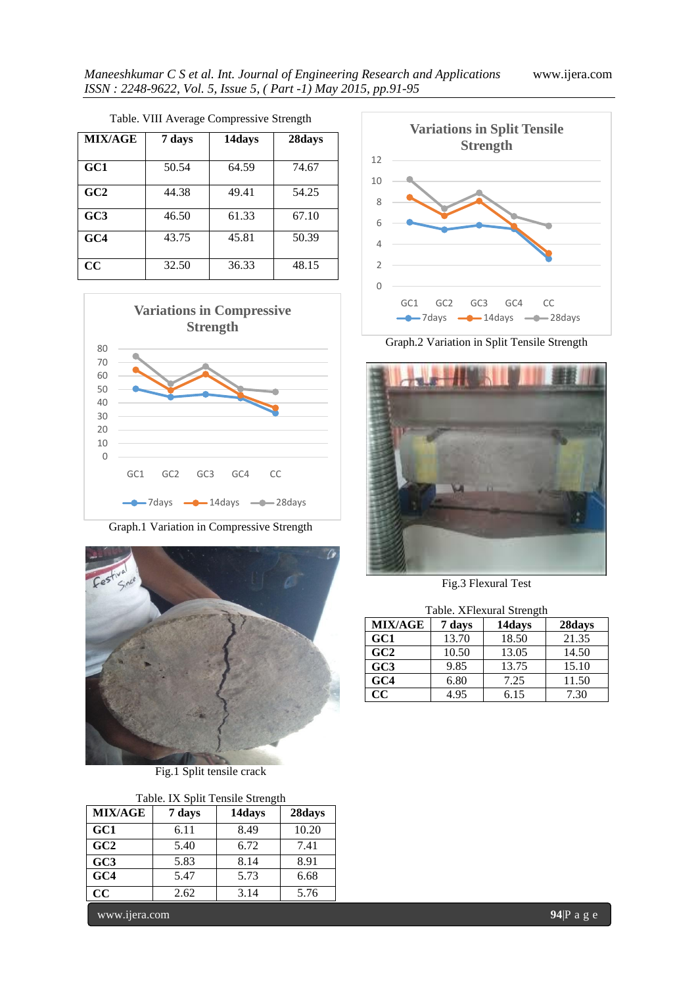| 1.001          |        |        |        |  |  |
|----------------|--------|--------|--------|--|--|
| <b>MIX/AGE</b> | 7 days | 14days | 28days |  |  |
| GC1            | 50.54  | 64.59  | 74.67  |  |  |
| GC2            | 44.38  | 49.41  | 54.25  |  |  |
| GC3            | 46.50  | 61.33  | 67.10  |  |  |
| GC4            | 43.75  | 45.81  | 50.39  |  |  |
| CC             | 32.50  | 36.33  | 48.15  |  |  |





Graph.1 Variation in Compressive Strength



Fig.1 Split tensile crack

| GC1<br>8.49<br>6.11<br>GC2<br>6.72<br>5.40<br>GC <sub>3</sub><br>5.83<br>8.14<br>GC4<br>5.73<br>5.47 |       |
|------------------------------------------------------------------------------------------------------|-------|
|                                                                                                      | 10.20 |
|                                                                                                      | 7.41  |
|                                                                                                      | 8.91  |
|                                                                                                      | 6.68  |
| $\bf CC$<br>2.62<br>3.14                                                                             | 5.76  |

www.ijera.com **94**|P a g e



Graph.2 Variation in Split Tensile Strength



Fig.3 Flexural Test

| Table. XFlexural Strength |        |        |        |  |  |
|---------------------------|--------|--------|--------|--|--|
| <b>MIX/AGE</b>            | 7 days | 14days | 28days |  |  |
| GC1                       | 13.70  | 18.50  | 21.35  |  |  |
| GC2                       | 10.50  | 13.05  | 14.50  |  |  |
| GC <sub>3</sub>           | 9.85   | 13.75  | 15.10  |  |  |
| GC4                       | 6.80   | 7.25   | 11.50  |  |  |
| CC                        | 4.95   | 6.15   | 7.30   |  |  |